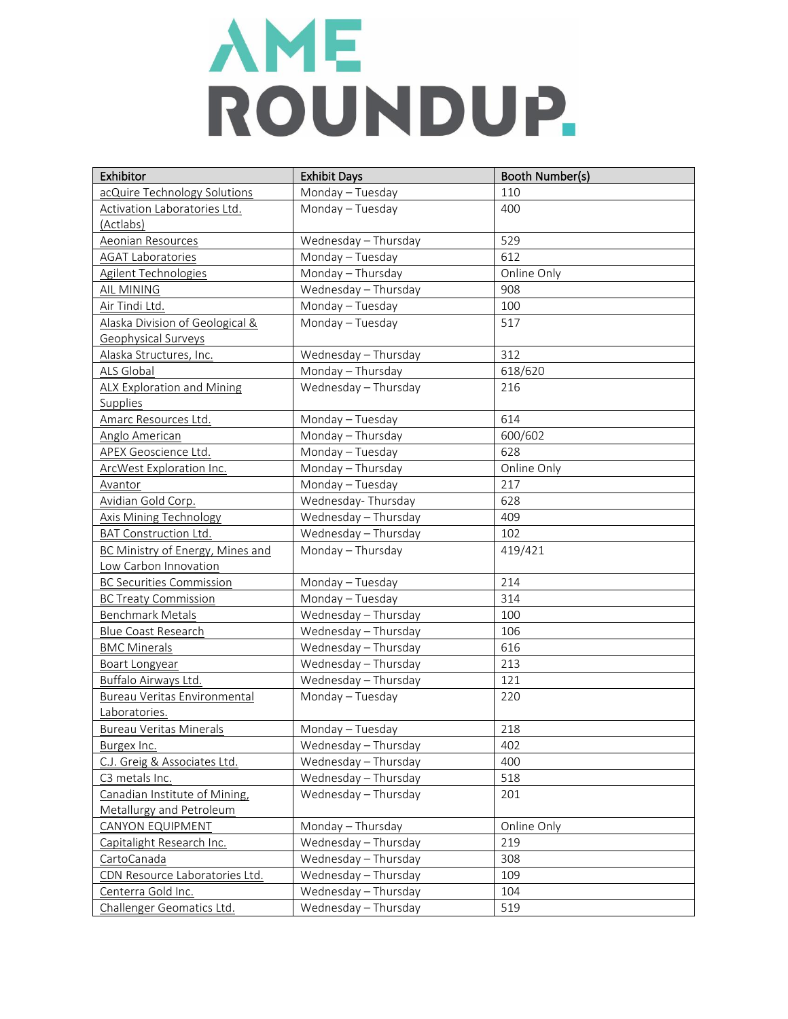| Exhibitor                         | <b>Exhibit Days</b>  | Booth Number(s) |
|-----------------------------------|----------------------|-----------------|
| acQuire Technology Solutions      | Monday - Tuesday     | 110             |
| Activation Laboratories Ltd.      | Monday - Tuesday     | 400             |
| (Actlabs)                         |                      |                 |
| Aeonian Resources                 | Wednesday - Thursday | 529             |
| <b>AGAT Laboratories</b>          | Monday - Tuesday     | 612             |
| Agilent Technologies              | Monday - Thursday    | Online Only     |
| AIL MINING                        | Wednesday - Thursday | 908             |
| Air Tindi Ltd.                    | Monday - Tuesday     | 100             |
| Alaska Division of Geological &   | Monday - Tuesday     | 517             |
| Geophysical Surveys               |                      |                 |
| Alaska Structures, Inc.           | Wednesday - Thursday | 312             |
| ALS Global                        | Monday - Thursday    | 618/620         |
| <b>ALX Exploration and Mining</b> | Wednesday - Thursday | 216             |
| Supplies                          |                      |                 |
| Amarc Resources Ltd.              | Monday - Tuesday     | 614             |
| Anglo American                    | Monday - Thursday    | 600/602         |
| <b>APEX Geoscience Ltd.</b>       | Monday - Tuesday     | 628             |
| ArcWest Exploration Inc.          | Monday - Thursday    | Online Only     |
| Avantor                           | Monday - Tuesday     | 217             |
| Avidian Gold Corp.                | Wednesday-Thursday   | 628             |
| Axis Mining Technology            | Wednesday - Thursday | 409             |
| <b>BAT Construction Ltd.</b>      | Wednesday - Thursday | 102             |
| BC Ministry of Energy, Mines and  | Monday - Thursday    | 419/421         |
| Low Carbon Innovation             |                      |                 |
| <b>BC Securities Commission</b>   | Monday - Tuesday     | 214             |
| <b>BC Treaty Commission</b>       | Monday - Tuesday     | 314             |
| <b>Benchmark Metals</b>           | Wednesday - Thursday | 100             |
| Blue Coast Research               | Wednesday - Thursday | 106             |
| <b>BMC Minerals</b>               | Wednesday - Thursday | 616             |
| <b>Boart Longyear</b>             | Wednesday - Thursday | 213             |
| Buffalo Airways Ltd.              | Wednesday - Thursday | 121             |
| Bureau Veritas Environmental      | Monday - Tuesday     | 220             |
| Laboratories.                     |                      |                 |
| <b>Bureau Veritas Minerals</b>    | Monday - Tuesday     | 218             |
| Burgex Inc.                       | Wednesday - Thursday | 402             |
| C.J. Greig & Associates Ltd.      | Wednesday - Thursday | 400             |
| C3 metals Inc.                    | Wednesday - Thursday | 518             |
| Canadian Institute of Mining,     | Wednesday - Thursday | 201             |
| Metallurgy and Petroleum          |                      |                 |
| <b>CANYON EQUIPMENT</b>           | Monday - Thursday    | Online Only     |
| Capitalight Research Inc.         | Wednesday - Thursday | 219             |
| CartoCanada                       | Wednesday - Thursday | 308             |
| CDN Resource Laboratories Ltd.    | Wednesday - Thursday | 109             |
| Centerra Gold Inc.                | Wednesday - Thursday | 104             |
| Challenger Geomatics Ltd.         | Wednesday - Thursday | 519             |
|                                   |                      |                 |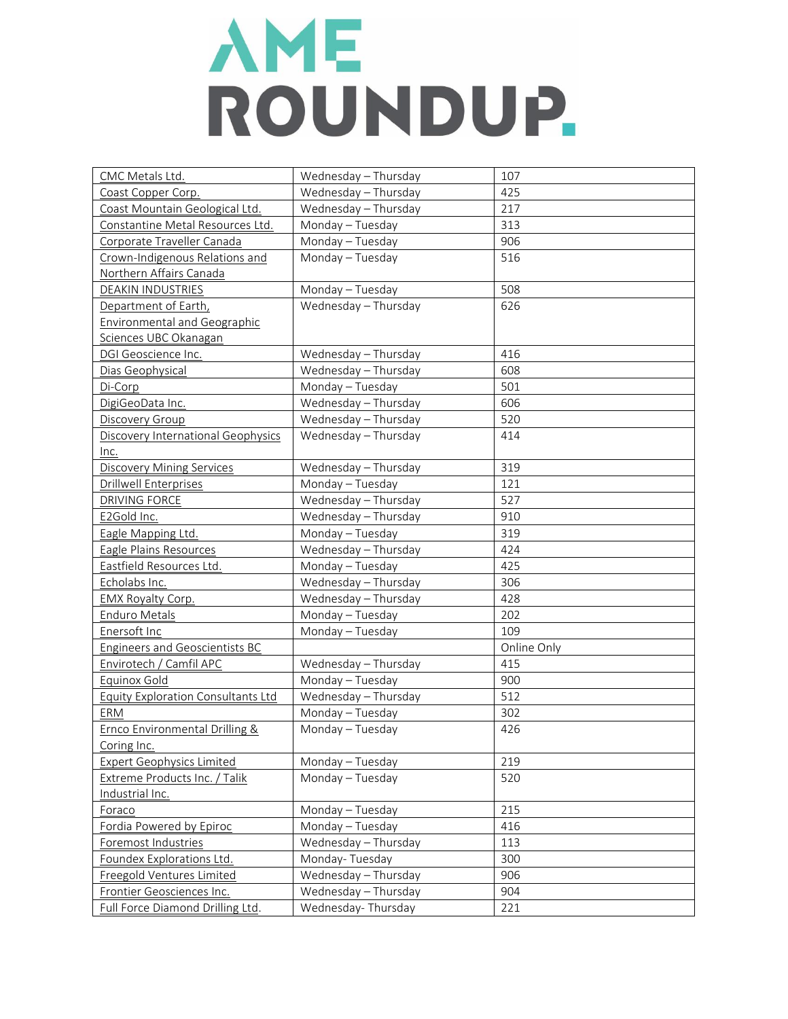| CMC Metals Ltd.                           | Wednesday - Thursday | 107         |
|-------------------------------------------|----------------------|-------------|
| Coast Copper Corp.                        | Wednesday - Thursday | 425         |
| Coast Mountain Geological Ltd.            | Wednesday - Thursday | 217         |
| Constantine Metal Resources Ltd.          | Monday - Tuesday     | 313         |
| Corporate Traveller Canada                | Monday - Tuesday     | 906         |
| Crown-Indigenous Relations and            | Monday - Tuesday     | 516         |
| Northern Affairs Canada                   |                      |             |
| <b>DEAKIN INDUSTRIES</b>                  | Monday - Tuesday     | 508         |
| Department of Earth,                      | Wednesday - Thursday | 626         |
| <b>Environmental and Geographic</b>       |                      |             |
| Sciences UBC Okanagan                     |                      |             |
| DGI Geoscience Inc.                       | Wednesday - Thursday | 416         |
| Dias Geophysical                          | Wednesday - Thursday | 608         |
| Di-Corp                                   | Monday - Tuesday     | 501         |
| DigiGeoData Inc.                          | Wednesday - Thursday | 606         |
| Discovery Group                           | Wednesday - Thursday | 520         |
| Discovery International Geophysics        | Wednesday - Thursday | 414         |
| Inc.                                      |                      |             |
| <b>Discovery Mining Services</b>          | Wednesday - Thursday | 319         |
| <b>Drillwell Enterprises</b>              | Monday - Tuesday     | 121         |
| <b>DRIVING FORCE</b>                      | Wednesday - Thursday | 527         |
| E2Gold Inc.                               | Wednesday - Thursday | 910         |
| Eagle Mapping Ltd.                        | Monday - Tuesday     | 319         |
| Eagle Plains Resources                    | Wednesday - Thursday | 424         |
| Eastfield Resources Ltd.                  | Monday - Tuesday     | 425         |
| Echolabs Inc.                             | Wednesday - Thursday | 306         |
| EMX Royalty Corp.                         | Wednesday - Thursday | 428         |
| <b>Enduro Metals</b>                      | Monday - Tuesday     | 202         |
| Enersoft Inc                              | Monday - Tuesday     | 109         |
| <b>Engineers and Geoscientists BC</b>     |                      | Online Only |
| Envirotech / Camfil APC                   | Wednesday - Thursday | 415         |
| Equinox Gold                              | Monday - Tuesday     | 900         |
| <b>Equity Exploration Consultants Ltd</b> | Wednesday - Thursday | 512         |
| ERM                                       | Monday - Tuesday     | 302         |
| <b>Ernco Environmental Drilling &amp;</b> | Monday - Tuesday     | 426         |
| Coring Inc.                               |                      |             |
| <b>Expert Geophysics Limited</b>          | Monday - Tuesday     | 219         |
| Extreme Products Inc. / Talik             | Monday - Tuesday     | 520         |
| Industrial Inc.                           |                      |             |
| Foraco                                    | Monday - Tuesday     | 215         |
| Fordia Powered by Epiroc                  | Monday - Tuesday     | 416         |
| Foremost Industries                       | Wednesday - Thursday | 113         |
| Foundex Explorations Ltd.                 | Monday-Tuesday       | 300         |
| Freegold Ventures Limited                 | Wednesday - Thursday | 906         |
| Frontier Geosciences Inc.                 | Wednesday - Thursday | 904         |
| Full Force Diamond Drilling Ltd.          | Wednesday-Thursday   | 221         |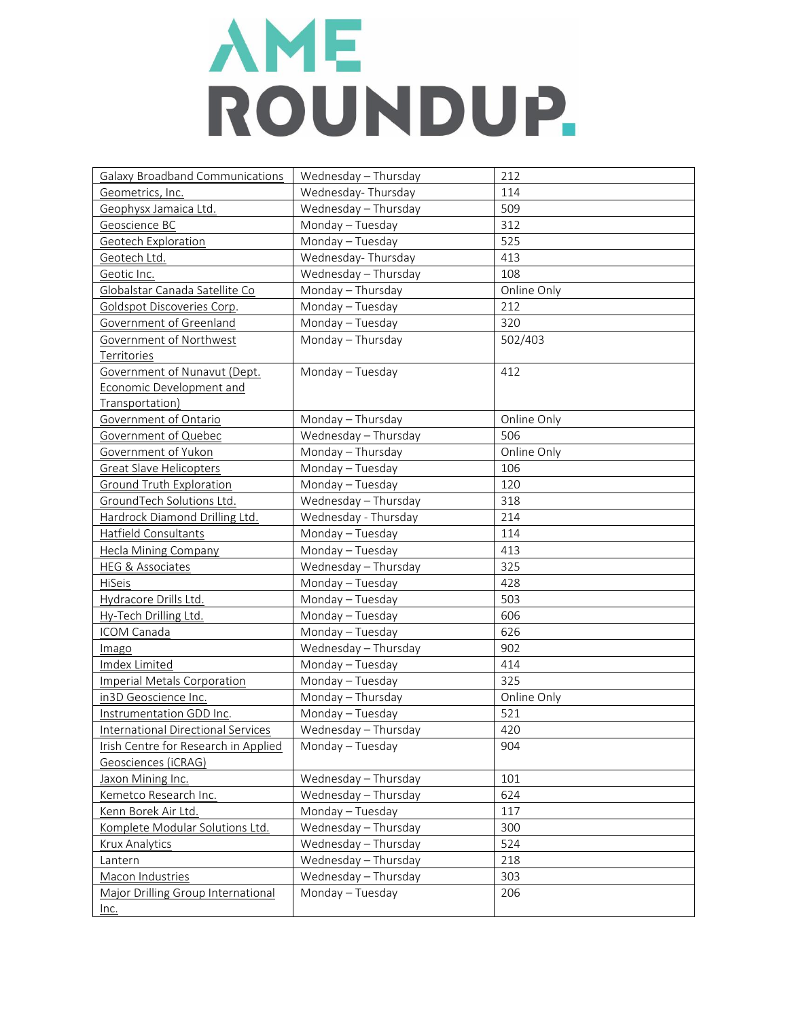| <b>Galaxy Broadband Communications</b>    | Wednesday - Thursday | 212         |
|-------------------------------------------|----------------------|-------------|
| Geometrics, Inc.                          | Wednesday-Thursday   | 114         |
| Geophysx Jamaica Ltd.                     | Wednesday - Thursday | 509         |
| Geoscience BC                             | Monday - Tuesday     | 312         |
| Geotech Exploration                       | Monday - Tuesday     | 525         |
| Geotech Ltd.                              | Wednesday-Thursday   | 413         |
| Geotic Inc.                               | Wednesday - Thursday | 108         |
| Globalstar Canada Satellite Co            | Monday - Thursday    | Online Only |
| Goldspot Discoveries Corp.                | Monday - Tuesday     | 212         |
| Government of Greenland                   | Monday - Tuesday     | 320         |
| Government of Northwest                   | Monday - Thursday    | 502/403     |
| Territories                               |                      |             |
| Government of Nunavut (Dept.              | Monday - Tuesday     | 412         |
| Economic Development and                  |                      |             |
| Transportation)                           |                      |             |
| Government of Ontario                     | Monday - Thursday    | Online Only |
| Government of Quebec                      | Wednesday - Thursday | 506         |
| Government of Yukon                       | Monday - Thursday    | Online Only |
| <b>Great Slave Helicopters</b>            | Monday - Tuesday     | 106         |
| Ground Truth Exploration                  | Monday - Tuesday     | 120         |
| GroundTech Solutions Ltd.                 | Wednesday - Thursday | 318         |
| Hardrock Diamond Drilling Ltd.            | Wednesday - Thursday | 214         |
| Hatfield Consultants                      | Monday - Tuesday     | 114         |
| <b>Hecla Mining Company</b>               | Monday - Tuesday     | 413         |
| <b>HEG &amp; Associates</b>               | Wednesday - Thursday | 325         |
| HiSeis                                    | Monday - Tuesday     | 428         |
| Hydracore Drills Ltd.                     | Monday - Tuesday     | 503         |
| Hy-Tech Drilling Ltd.                     | Monday - Tuesday     | 606         |
| ICOM Canada                               | Monday - Tuesday     | 626         |
| Imago                                     | Wednesday - Thursday | 902         |
| Imdex Limited                             | Monday - Tuesday     | 414         |
| <b>Imperial Metals Corporation</b>        | Monday - Tuesday     | 325         |
| in3D Geoscience Inc.                      | Monday - Thursday    | Online Only |
| Instrumentation GDD Inc.                  | Monday - Tuesday     | 521         |
| <b>International Directional Services</b> | Wednesday - Thursday | 420         |
| Irish Centre for Research in Applied      | Monday - Tuesday     | 904         |
| Geosciences (iCRAG)                       |                      |             |
| Jaxon Mining Inc.                         | Wednesday - Thursday | 101         |
| Kemetco Research Inc.                     | Wednesday - Thursday | 624         |
| Kenn Borek Air Ltd.                       | Monday - Tuesday     | 117         |
| Komplete Modular Solutions Ltd.           | Wednesday - Thursday | 300         |
| <b>Krux Analytics</b>                     | Wednesday - Thursday | 524         |
| Lantern                                   | Wednesday - Thursday | 218         |
| Macon Industries                          | Wednesday - Thursday | 303         |
| Major Drilling Group International        | Monday - Tuesday     | 206         |
| $Inc.$                                    |                      |             |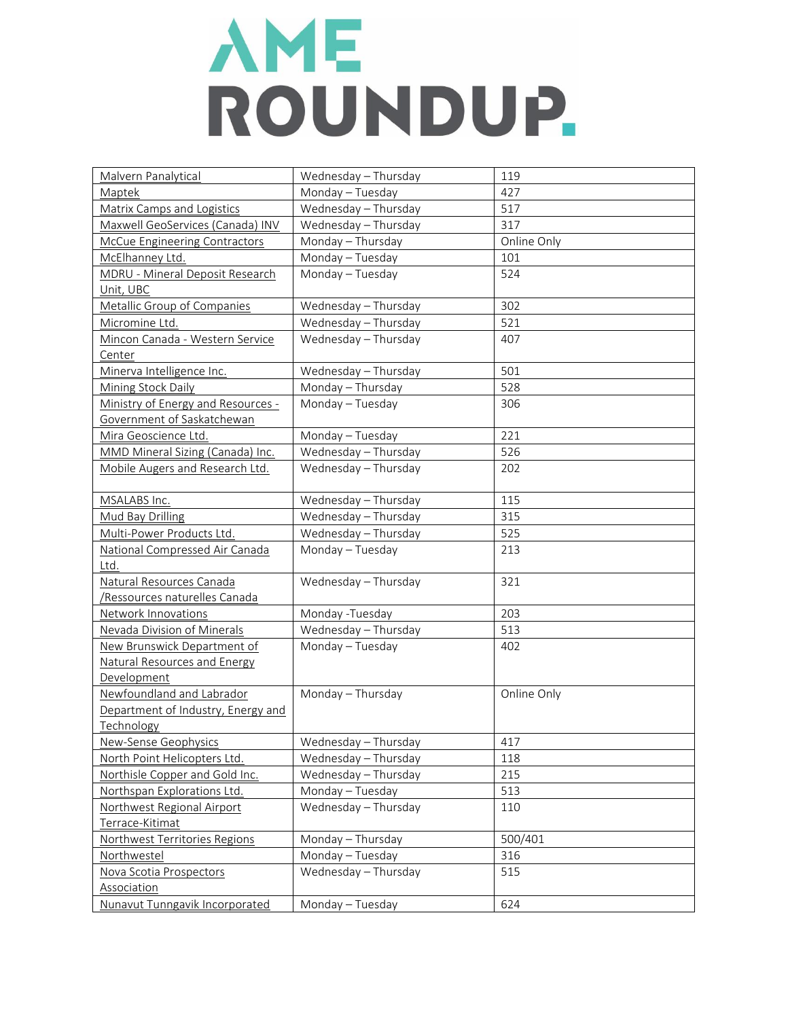| Malvern Panalytical                    | Wednesday - Thursday | 119         |
|----------------------------------------|----------------------|-------------|
| Maptek                                 | Monday - Tuesday     | 427         |
| Matrix Camps and Logistics             | Wednesday - Thursday | 517         |
| Maxwell GeoServices (Canada) INV       | Wednesday - Thursday | 317         |
| McCue Engineering Contractors          | Monday - Thursday    | Online Only |
| McElhanney Ltd.                        | Monday - Tuesday     | 101         |
| <b>MDRU - Mineral Deposit Research</b> | Monday - Tuesday     | 524         |
| Unit, UBC                              |                      |             |
| Metallic Group of Companies            | Wednesday - Thursday | 302         |
| Micromine Ltd.                         | Wednesday - Thursday | 521         |
| Mincon Canada - Western Service        | Wednesday - Thursday | 407         |
| Center                                 |                      |             |
| Minerva Intelligence Inc.              | Wednesday - Thursday | 501         |
| <b>Mining Stock Daily</b>              | Monday - Thursday    | 528         |
| Ministry of Energy and Resources -     | Monday - Tuesday     | 306         |
| Government of Saskatchewan             |                      |             |
| Mira Geoscience Ltd.                   | Monday - Tuesday     | 221         |
| MMD Mineral Sizing (Canada) Inc.       | Wednesday - Thursday | 526         |
| Mobile Augers and Research Ltd.        | Wednesday - Thursday | 202         |
|                                        |                      |             |
| MSALABS Inc.                           | Wednesday - Thursday | 115         |
| Mud Bay Drilling                       | Wednesday - Thursday | 315         |
| Multi-Power Products Ltd.              | Wednesday - Thursday | 525         |
| National Compressed Air Canada         | Monday - Tuesday     | 213         |
| Ltd.                                   |                      |             |
| Natural Resources Canada               | Wednesday - Thursday | 321         |
| /Ressources naturelles Canada          |                      |             |
| Network Innovations                    | Monday -Tuesday      | 203         |
| Nevada Division of Minerals            | Wednesday - Thursday | 513         |
| New Brunswick Department of            | Monday - Tuesday     | 402         |
| <b>Natural Resources and Energy</b>    |                      |             |
| Development                            |                      |             |
| Newfoundland and Labrador              | Monday - Thursday    | Online Only |
| Department of Industry, Energy and     |                      |             |
| Technology                             |                      |             |
| New-Sense Geophysics                   | Wednesday - Thursday | 417         |
| North Point Helicopters Ltd.           | Wednesday - Thursday | 118         |
| Northisle Copper and Gold Inc.         | Wednesday - Thursday | 215         |
| Northspan Explorations Ltd.            | Monday - Tuesday     | 513         |
| Northwest Regional Airport             | Wednesday - Thursday | 110         |
| Terrace-Kitimat                        |                      |             |
| Northwest Territories Regions          | Monday - Thursday    | 500/401     |
| Northwestel                            | Monday - Tuesday     | 316         |
| Nova Scotia Prospectors                | Wednesday - Thursday | 515         |
| Association                            |                      |             |
| Nunavut Tunngavik Incorporated         | Monday - Tuesday     | 624         |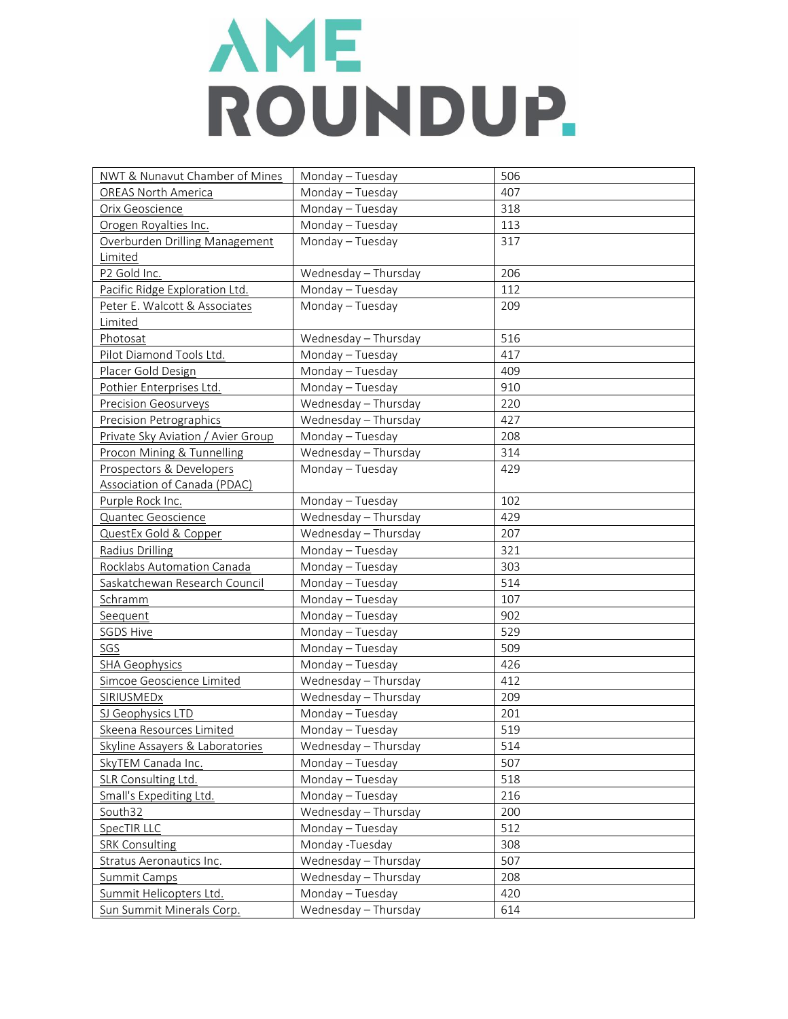| NWT & Nunavut Chamber of Mines      | Monday - Tuesday     | 506 |
|-------------------------------------|----------------------|-----|
| <b>OREAS North America</b>          | Monday - Tuesday     | 407 |
| Orix Geoscience                     | Monday - Tuesday     | 318 |
| Orogen Royalties Inc.               | Monday - Tuesday     | 113 |
| Overburden Drilling Management      | Monday - Tuesday     | 317 |
| Limited                             |                      |     |
| P2 Gold Inc.                        | Wednesday - Thursday | 206 |
| Pacific Ridge Exploration Ltd.      | Monday - Tuesday     | 112 |
| Peter E. Walcott & Associates       | Monday - Tuesday     | 209 |
| Limited                             |                      |     |
| Photosat                            | Wednesday - Thursday | 516 |
| Pilot Diamond Tools Ltd.            | Monday - Tuesday     | 417 |
| Placer Gold Design                  | Monday - Tuesday     | 409 |
| Pothier Enterprises Ltd.            | Monday - Tuesday     | 910 |
| <b>Precision Geosurveys</b>         | Wednesday - Thursday | 220 |
| <b>Precision Petrographics</b>      | Wednesday - Thursday | 427 |
| Private Sky Aviation / Avier Group  | Monday - Tuesday     | 208 |
| Procon Mining & Tunnelling          | Wednesday - Thursday | 314 |
| Prospectors & Developers            | Monday - Tuesday     | 429 |
| <b>Association of Canada (PDAC)</b> |                      |     |
| Purple Rock Inc.                    | Monday - Tuesday     | 102 |
| Quantec Geoscience                  | Wednesday - Thursday | 429 |
| QuestEx Gold & Copper               | Wednesday - Thursday | 207 |
| <b>Radius Drilling</b>              | Monday - Tuesday     | 321 |
| Rocklabs Automation Canada          | Monday - Tuesday     | 303 |
| Saskatchewan Research Council       | Monday - Tuesday     | 514 |
| Schramm                             | Monday - Tuesday     | 107 |
| Seequent                            | Monday - Tuesday     | 902 |
| <b>SGDS Hive</b>                    | Monday - Tuesday     | 529 |
| SGS                                 | Monday - Tuesday     | 509 |
| <b>SHA Geophysics</b>               | Monday - Tuesday     | 426 |
| Simcoe Geoscience Limited           | Wednesday - Thursday | 412 |
| <b>SIRIUSMEDx</b>                   | Wednesday - Thursday | 209 |
| SJ Geophysics LTD                   | Monday - Tuesday     | 201 |
| Skeena Resources Limited            | Monday - Tuesday     | 519 |
| Skyline Assayers & Laboratories     | Wednesday - Thursday | 514 |
| SkyTEM Canada Inc.                  | Monday - Tuesday     | 507 |
| SLR Consulting Ltd.                 | Monday - Tuesday     | 518 |
| Small's Expediting Ltd.             | Monday - Tuesday     | 216 |
| South32                             | Wednesday - Thursday | 200 |
| SpecTIR LLC                         | Monday - Tuesday     | 512 |
| <b>SRK Consulting</b>               | Monday -Tuesday      | 308 |
| <b>Stratus Aeronautics Inc.</b>     | Wednesday - Thursday | 507 |
| <b>Summit Camps</b>                 | Wednesday - Thursday | 208 |
| Summit Helicopters Ltd.             | Monday - Tuesday     | 420 |
| Sun Summit Minerals Corp.           | Wednesday - Thursday | 614 |